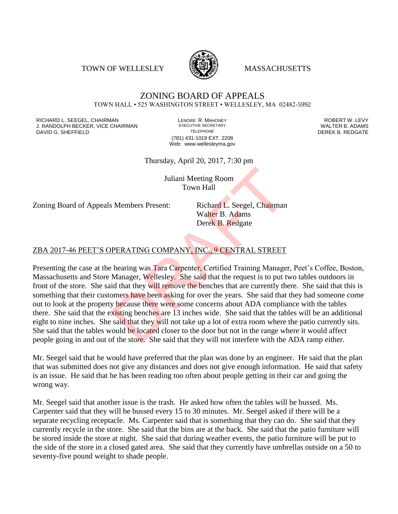TOWN OF WELLESLEY **WASSACHUSETTS** 



## ZONING BOARD OF APPEALS TOWN HALL • 525 WASHINGTON STREET • WELLESLEY, MA 02482-5992

RICHARD L. SEEGEL, CHAIRMAN LENORE R. MAHONEY ROBERT W. LEVY J. RANDOLPH BECKER, VICE CHAIRMAN EXECUTIVE SECRETARY THE SANDOLPH BECKER B. ADAMS<br>DEREK B. REDGATE TELEPHONE TELEPHONE TELEPHONE TELEPHONE DAVID G. SHEFFIELD

(781) 431-1019 EXT. 2208 Web: www.wellesleyma.gov

Thursday, April 20, 2017, 7:30 pm

Juliani Meeting Room Town Hall

Zoning Board of Appeals Members Present: Richard L. Seegel, Chairman

Walter B. Adams Derek B. Redgate

## ZBA 2017-46 PEET'S OPERATING COMPANY, INC., 9 CENTRAL STREET

Presenting the case at the hearing was Tara Carpenter, Certified Training Manager, Peet's Coffee, Boston, Massachusetts and Store Manager, Wellesley. She said that the request is to put two tables outdoors in front of the store. She said that they will remove the benches that are currently there. She said that this is something that their customers have been asking for over the years. She said that they had someone come out to look at the property because there were some concerns about ADA compliance with the tables there. She said that the existing benches are 13 inches wide. She said that the tables will be an additional eight to nine inches. She said that they will not take up a lot of extra room where the patio currently sits. She said that the tables would be located closer to the door but not in the range where it would affect people going in and out of the store. She said that they will not interfere with the ADA ramp either. Juliani Meeting Room<br>
Town Hall<br>
S. Members Present: Richard L. Seegel, Chairman<br>
Walter B. Adams<br>
Derek B. Redgate<br>
DERATING COMPANY, INC., 9 CENTRAL STREET<br>
hearing was Tara Carpenter, Certified Training Manage<br>
Manager,

Mr. Seegel said that he would have preferred that the plan was done by an engineer. He said that the plan that was submitted does not give any distances and does not give enough information. He said that safety is an issue. He said that he has been reading too often about people getting in their car and going the wrong way.

Mr. Seegel said that another issue is the trash. He asked how often the tables will be bussed. Ms. Carpenter said that they will be bussed every 15 to 30 minutes. Mr. Seegel asked if there will be a separate recycling receptacle. Ms. Carpenter said that is something that they can do. She said that they currently recycle in the store. She said that the bins are at the back. She said that the patio furniture will be stored inside the store at night. She said that during weather events, the patio furniture will be put to the side of the store in a closed gated area. She said that they currently have umbrellas outside on a 50 to seventy-five pound weight to shade people.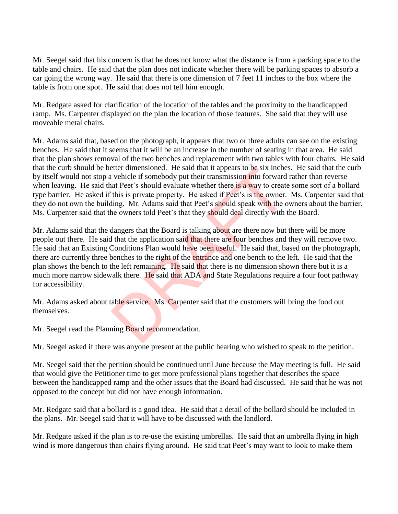Mr. Seegel said that his concern is that he does not know what the distance is from a parking space to the table and chairs. He said that the plan does not indicate whether there will be parking spaces to absorb a car going the wrong way. He said that there is one dimension of 7 feet 11 inches to the box where the table is from one spot. He said that does not tell him enough.

Mr. Redgate asked for clarification of the location of the tables and the proximity to the handicapped ramp. Ms. Carpenter displayed on the plan the location of those features. She said that they will use moveable metal chairs.

Mr. Adams said that, based on the photograph, it appears that two or three adults can see on the existing benches. He said that it seems that it will be an increase in the number of seating in that area. He said that the plan shows removal of the two benches and replacement with two tables with four chairs. He said that the curb should be better dimensioned. He said that it appears to be six inches. He said that the curb by itself would not stop a vehicle if somebody put their transmission into forward rather than reverse when leaving. He said that Peet's should evaluate whether there is a way to create some sort of a bollard type barrier. He asked if this is private property. He asked if Peet's is the owner. Ms. Carpenter said that they do not own the building. Mr. Adams said that Peet's should speak with the owners about the barrier. Ms. Carpenter said that the owners told Peet's that they should deal directly with the Board.

Mr. Adams said that the dangers that the Board is talking about are there now but there will be more people out there. He said that the application said that there are four benches and they will remove two. He said that an Existing Conditions Plan would have been useful. He said that, based on the photograph, there are currently three benches to the right of the entrance and one bench to the left. He said that the plan shows the bench to the left remaining. He said that there is no dimension shown there but it is a much more narrow sidewalk there. He said that ADA and State Regulations require a four foot pathway for accessibility. etter dimensioned. He said that it appears to be six inchered vehicle if somebody put their transmission into forward at Peet's should evaluate whether there is a way to create this is private property. He asked if Peet's

Mr. Adams asked about table service. Ms. Carpenter said that the customers will bring the food out themselves.

Mr. Seegel read the Planning Board recommendation.

Mr. Seegel asked if there was anyone present at the public hearing who wished to speak to the petition.

Mr. Seegel said that the petition should be continued until June because the May meeting is full. He said that would give the Petitioner time to get more professional plans together that describes the space between the handicapped ramp and the other issues that the Board had discussed. He said that he was not opposed to the concept but did not have enough information.

Mr. Redgate said that a bollard is a good idea. He said that a detail of the bollard should be included in the plans. Mr. Seegel said that it will have to be discussed with the landlord.

Mr. Redgate asked if the plan is to re-use the existing umbrellas. He said that an umbrella flying in high wind is more dangerous than chairs flying around. He said that Peet's may want to look to make them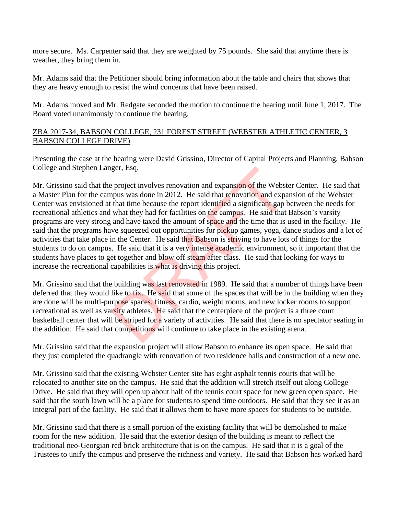more secure. Ms. Carpenter said that they are weighted by 75 pounds. She said that anytime there is weather, they bring them in.

Mr. Adams said that the Petitioner should bring information about the table and chairs that shows that they are heavy enough to resist the wind concerns that have been raised.

Mr. Adams moved and Mr. Redgate seconded the motion to continue the hearing until June 1, 2017. The Board voted unanimously to continue the hearing.

## ZBA 2017-34, BABSON COLLEGE, 231 FOREST STREET (WEBSTER ATHLETIC CENTER, 3 BABSON COLLEGE DRIVE)

Presenting the case at the hearing were David Grissino, Director of Capital Projects and Planning, Babson College and Stephen Langer, Esq.

Mr. Grissino said that the project involves renovation and expansion of the Webster Center. He said that a Master Plan for the campus was done in 2012. He said that renovation and expansion of the Webster Center was envisioned at that time because the report identified a significant gap between the needs for recreational athletics and what they had for facilities on the campus. He said that Babson's varsity programs are very strong and have taxed the amount of space and the time that is used in the facility. He said that the programs have squeezed out opportunities for pickup games, yoga, dance studios and a lot of activities that take place in the Center. He said that Babson is striving to have lots of things for the students to do on campus. He said that it is a very intense academic environment, so it important that the students have places to get together and blow off steam after class. He said that looking for ways to increase the recreational capabilities is what is driving this project. ger, Esq.<br>
2 project involves renovation and expansion of the Webst<br>
pus was done in 2012. He said that renovation and expansion<br>
that time because the report identified a significant gap l<br>
what they had for facilities o

Mr. Grissino said that the building was last renovated in 1989. He said that a number of things have been deferred that they would like to fix. He said that some of the spaces that will be in the building when they are done will be multi-purpose spaces, fitness, cardio, weight rooms, and new locker rooms to support recreational as well as varsity athletes. He said that the centerpiece of the project is a three court basketball center that will be striped for a variety of activities. He said that there is no spectator seating in the addition. He said that competitions will continue to take place in the existing arena.

Mr. Grissino said that the expansion project will allow Babson to enhance its open space. He said that they just completed the quadrangle with renovation of two residence halls and construction of a new one.

Mr. Grissino said that the existing Webster Center site has eight asphalt tennis courts that will be relocated to another site on the campus. He said that the addition will stretch itself out along College Drive. He said that they will open up about half of the tennis court space for new green open space. He said that the south lawn will be a place for students to spend time outdoors. He said that they see it as an integral part of the facility. He said that it allows them to have more spaces for students to be outside.

Mr. Grissino said that there is a small portion of the existing facility that will be demolished to make room for the new addition. He said that the exterior design of the building is meant to reflect the traditional neo-Georgian red brick architecture that is on the campus. He said that it is a goal of the Trustees to unify the campus and preserve the richness and variety. He said that Babson has worked hard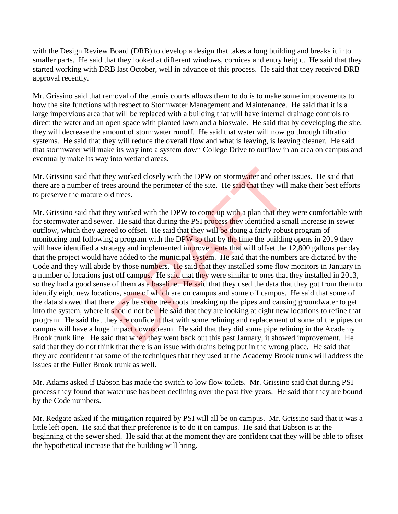with the Design Review Board (DRB) to develop a design that takes a long building and breaks it into smaller parts. He said that they looked at different windows, cornices and entry height. He said that they started working with DRB last October, well in advance of this process. He said that they received DRB approval recently.

Mr. Grissino said that removal of the tennis courts allows them to do is to make some improvements to how the site functions with respect to Stormwater Management and Maintenance. He said that it is a large impervious area that will be replaced with a building that will have internal drainage controls to direct the water and an open space with planted lawn and a bioswale. He said that by developing the site, they will decrease the amount of stormwater runoff. He said that water will now go through filtration systems. He said that they will reduce the overall flow and what is leaving, is leaving cleaner. He said that stormwater will make its way into a system down College Drive to outflow in an area on campus and eventually make its way into wetland areas.

Mr. Grissino said that they worked closely with the DPW on stormwater and other issues. He said that there are a number of trees around the perimeter of the site. He said that they will make their best efforts to preserve the mature old trees.

Mr. Grissino said that they worked with the DPW to come up with a plan that they were comfortable with for stormwater and sewer. He said that during the PSI process they identified a small increase in sewer outflow, which they agreed to offset. He said that they will be doing a fairly robust program of monitoring and following a program with the DPW so that by the time the building opens in 2019 they will have identified a strategy and implemented improvements that will offset the 12,800 gallons per day that the project would have added to the municipal system. He said that the numbers are dictated by the Code and they will abide by those numbers. He said that they installed some flow monitors in January in a number of locations just off campus. He said that they were similar to ones that they installed in 2013, so they had a good sense of them as a **baseline.** He said that they used the data that they got from them to identify eight new locations, some of which are on campus and some off campus. He said that some of the data showed that there may be some tree roots breaking up the pipes and causing groundwater to get into the system, where it should not be. He said that they are looking at eight new locations to refine that program. He said that they are confident that with some relining and replacement of some of the pipes on campus will have a huge impact downstream. He said that they did some pipe relining in the Academy Brook trunk line. He said that when they went back out this past January, it showed improvement. He said that they do not think that there is an issue with drains being put in the wrong place. He said that they are confident that some of the techniques that they used at the Academy Brook trunk will address the issues at the Fuller Brook trunk as well. by worked closely with the DPW on stormwater and othes<br>s around the perimeter of the site. He said that they will<br>d trees.<br>ey worked with the DPW to come up with a plan that they<br>r.<br>F. He said that during the PSI process t

Mr. Adams asked if Babson has made the switch to low flow toilets. Mr. Grissino said that during PSI process they found that water use has been declining over the past five years. He said that they are bound by the Code numbers.

Mr. Redgate asked if the mitigation required by PSI will all be on campus. Mr. Grissino said that it was a little left open. He said that their preference is to do it on campus. He said that Babson is at the beginning of the sewer shed. He said that at the moment they are confident that they will be able to offset the hypothetical increase that the building will bring.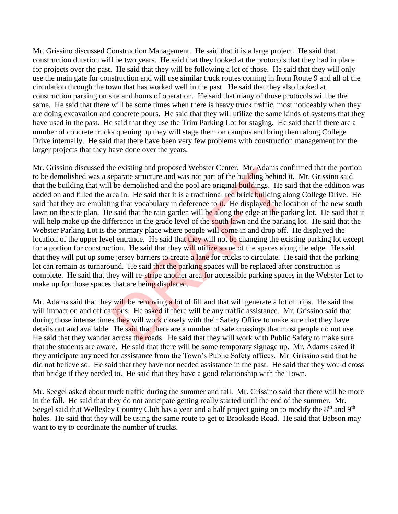Mr. Grissino discussed Construction Management. He said that it is a large project. He said that construction duration will be two years. He said that they looked at the protocols that they had in place for projects over the past. He said that they will be following a lot of those. He said that they will only use the main gate for construction and will use similar truck routes coming in from Route 9 and all of the circulation through the town that has worked well in the past. He said that they also looked at construction parking on site and hours of operation. He said that many of those protocols will be the same. He said that there will be some times when there is heavy truck traffic, most noticeably when they are doing excavation and concrete pours. He said that they will utilize the same kinds of systems that they have used in the past. He said that they use the Trim Parking Lot for staging. He said that if there are a number of concrete trucks queuing up they will stage them on campus and bring them along College Drive internally. He said that there have been very few problems with construction management for the larger projects that they have done over the years.

Mr. Grissino discussed the existing and proposed Webster Center. Mr. Adams confirmed that the portion to be demolished was a separate structure and was not part of the building behind it. Mr. Grissino said that the building that will be demolished and the pool are original buildings. He said that the addition was added on and filled the area in. He said that it is a traditional red brick building along College Drive. He said that they are emulating that vocabulary in deference to it. He displayed the location of the new south lawn on the site plan. He said that the rain garden will be along the edge at the parking lot. He said that it will help make up the difference in the grade level of the south lawn and the parking lot. He said that the Webster Parking Lot is the primary place where people will come in and drop off. He displayed the location of the upper level entrance. He said that they will not be changing the existing parking lot except for a portion for construction. He said that they will utilize some of the spaces along the edge. He said that they will put up some jersey barriers to create a lane for trucks to circulate. He said that the parking lot can remain as turnaround. He said that the parking spaces will be replaced after construction is complete. He said that they will re-stripe another area for accessible parking spaces in the Webster Lot to make up for those spaces that are being displaced. is existing and proposed webster Center. Mr. Adams co<br>eparate structure and was not part of the building behind<br>be demolished and the pool are original buildings. He s<br>rea in. He said that it is a traditional red brick bui

Mr. Adams said that they will be removing a lot of fill and that will generate a lot of trips. He said that will impact on and off campus. He asked if there will be any traffic assistance. Mr. Grissino said that during those intense times they will work closely with their Safety Office to make sure that they have details out and available. He said that there are a number of safe crossings that most people do not use. He said that they wander across the roads. He said that they will work with Public Safety to make sure that the students are aware. He said that there will be some temporary signage up. Mr. Adams asked if they anticipate any need for assistance from the Town's Public Safety offices. Mr. Grissino said that he did not believe so. He said that they have not needed assistance in the past. He said that they would cross that bridge if they needed to. He said that they have a good relationship with the Town.

Mr. Seegel asked about truck traffic during the summer and fall. Mr. Grissino said that there will be more in the fall. He said that they do not anticipate getting really started until the end of the summer. Mr. Seegel said that Wellesley Country Club has a year and a half project going on to modify the 8<sup>th</sup> and 9<sup>th</sup> holes. He said that they will be using the same route to get to Brookside Road. He said that Babson may want to try to coordinate the number of trucks.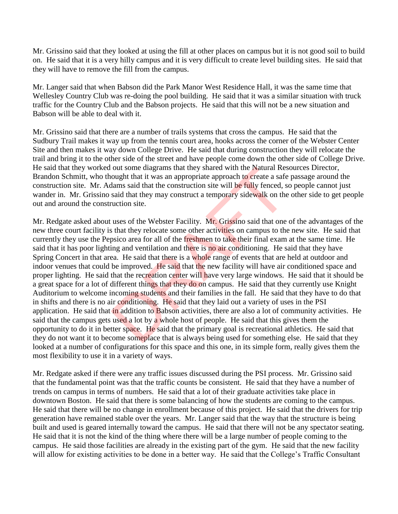Mr. Grissino said that they looked at using the fill at other places on campus but it is not good soil to build on. He said that it is a very hilly campus and it is very difficult to create level building sites. He said that they will have to remove the fill from the campus.

Mr. Langer said that when Babson did the Park Manor West Residence Hall, it was the same time that Wellesley Country Club was re-doing the pool building. He said that it was a similar situation with truck traffic for the Country Club and the Babson projects. He said that this will not be a new situation and Babson will be able to deal with it.

Mr. Grissino said that there are a number of trails systems that cross the campus. He said that the Sudbury Trail makes it way up from the tennis court area, hooks across the corner of the Webster Center Site and then makes it way down College Drive. He said that during construction they will relocate the trail and bring it to the other side of the street and have people come down the other side of College Drive. He said that they worked out some diagrams that they shared with the Natural Resources Director, Brandon Schmitt, who thought that it was an appropriate approach to create a safe passage around the construction site. Mr. Adams said that the construction site will be fully fenced, so people cannot just wander in. Mr. Grissino said that they may construct a temporary sidewalk on the other side to get people out and around the construction site.

Mr. Redgate asked about uses of the Webster Facility. Mr. Grissino said that one of the advantages of the new three court facility is that they relocate some other activities on campus to the new site. He said that currently they use the Pepsico area for all of the freshmen to take their final exam at the same time. He said that it has poor lighting and ventilation and there is no air conditioning. He said that they have Spring Concert in that area. He said that there is a whole range of events that are held at outdoor and indoor venues that could be improved. He said that the new facility will have air conditioned space and proper lighting. He said that the recreation center will have very large windows. He said that it should be a great space for a lot of different things that they do on campus. He said that they currently use Knight Auditorium to welcome incoming students and their families in the fall. He said that they have to do that in shifts and there is no air conditioning. He said that they laid out a variety of uses in the PSI application. He said that in addition to Babson activities, there are also a lot of community activities. He said that the campus gets used a lot by a whole host of people. He said that this gives them the opportunity to do it in better space. He said that the primary goal is recreational athletics. He said that they do not want it to become someplace that is always being used for something else. He said that they looked at a number of configurations for this space and this one, in its simple form, really gives them the most flexibility to use it in a variety of ways. out some diagrams that they shared with the Natural Res<br>ought that it was an appropriate approach to create a safe<br>dams said that the construction site will be fully fenced, s<br>said that they may construct a temporary sidew

Mr. Redgate asked if there were any traffic issues discussed during the PSI process. Mr. Grissino said that the fundamental point was that the traffic counts be consistent. He said that they have a number of trends on campus in terms of numbers. He said that a lot of their graduate activities take place in downtown Boston. He said that there is some balancing of how the students are coming to the campus. He said that there will be no change in enrollment because of this project. He said that the drivers for trip generation have remained stable over the years. Mr. Langer said that the way that the structure is being built and used is geared internally toward the campus. He said that there will not be any spectator seating. He said that it is not the kind of the thing where there will be a large number of people coming to the campus. He said those facilities are already in the existing part of the gym. He said that the new facility will allow for existing activities to be done in a better way. He said that the College's Traffic Consultant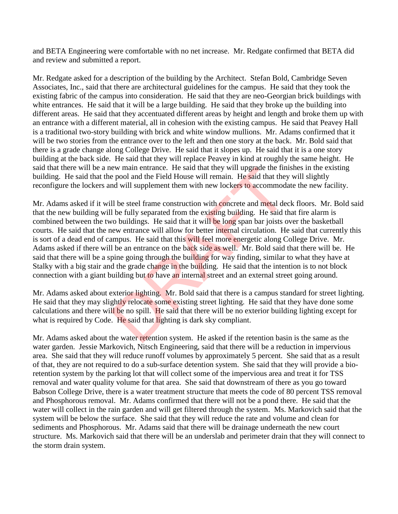and BETA Engineering were comfortable with no net increase. Mr. Redgate confirmed that BETA did and review and submitted a report.

Mr. Redgate asked for a description of the building by the Architect. Stefan Bold, Cambridge Seven Associates, Inc., said that there are architectural guidelines for the campus. He said that they took the existing fabric of the campus into consideration. He said that they are neo-Georgian brick buildings with white entrances. He said that it will be a large building. He said that they broke up the building into different areas. He said that they accentuated different areas by height and length and broke them up with an entrance with a different material, all in cohesion with the existing campus. He said that Peavey Hall is a traditional two-story building with brick and white window mullions. Mr. Adams confirmed that it will be two stories from the entrance over to the left and then one story at the back. Mr. Bold said that there is a grade change along College Drive. He said that it slopes up. He said that it is a one story building at the back side. He said that they will replace Peavey in kind at roughly the same height. He said that there will be a new main entrance. He said that they will upgrade the finishes in the existing building. He said that the pool and the Field House will remain. He said that they will slightly reconfigure the lockers and will supplement them with new lockers to accommodate the new facility.

Mr. Adams asked if it will be steel frame construction with concrete and metal deck floors. Mr. Bold said that the new building will be fully separated from the existing building. He said that fire alarm is combined between the two buildings. He said that it will be long span bar joists over the basketball courts. He said that the new entrance will allow for better internal circulation. He said that currently this is sort of a dead end of campus. He said that this will feel more energetic along College Drive. Mr. Adams asked if there will be an entrance on the back side as well. Mr. Bold said that there will be. He said that there will be a spine going through the building for way finding, similar to what they have at Stalky with a big stair and the grade change in the building. He said that the intention is to not block connection with a giant building but to have an internal street and an external street going around. ew main entrance. He said that they will upgrade the find<br>e pool and the Field House will remain. He said that they<br>not will supplement them with new lockers to accommoda<br>Il be steel frame construction with concrete and me

Mr. Adams asked about exterior lighting. Mr. Bold said that there is a campus standard for street lighting. He said that they may slightly relocate some existing street lighting. He said that they have done some calculations and there will be no spill. He said that there will be no exterior building lighting except for what is required by Code. He said that lighting is dark sky compliant.

Mr. Adams asked about the water retention system. He asked if the retention basin is the same as the water garden. Jessie Markovich, Nitsch Engineering, said that there will be a reduction in impervious area. She said that they will reduce runoff volumes by approximately 5 percent. She said that as a result of that, they are not required to do a sub-surface detention system. She said that they will provide a bioretention system by the parking lot that will collect some of the impervious area and treat it for TSS removal and water quality volume for that area. She said that downstream of there as you go toward Babson College Drive, there is a water treatment structure that meets the code of 80 percent TSS removal and Phosphorous removal. Mr. Adams confirmed that there will not be a pond there. He said that the water will collect in the rain garden and will get filtered through the system. Ms. Markovich said that the system will be below the surface. She said that they will reduce the rate and volume and clean for sediments and Phosphorous. Mr. Adams said that there will be drainage underneath the new court structure. Ms. Markovich said that there will be an underslab and perimeter drain that they will connect to the storm drain system.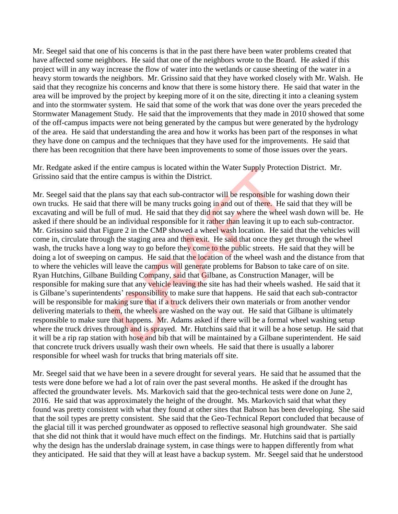Mr. Seegel said that one of his concerns is that in the past there have been water problems created that have affected some neighbors. He said that one of the neighbors wrote to the Board. He asked if this project will in any way increase the flow of water into the wetlands or cause sheeting of the water in a heavy storm towards the neighbors. Mr. Grissino said that they have worked closely with Mr. Walsh. He said that they recognize his concerns and know that there is some history there. He said that water in the area will be improved by the project by keeping more of it on the site, directing it into a cleaning system and into the stormwater system. He said that some of the work that was done over the years preceded the Stormwater Management Study. He said that the improvements that they made in 2010 showed that some of the off-campus impacts were not being generated by the campus but were generated by the hydrology of the area. He said that understanding the area and how it works has been part of the responses in what they have done on campus and the techniques that they have used for the improvements. He said that there has been recognition that there have been improvements to some of those issues over the years.

Mr. Redgate asked if the entire campus is located within the Water Supply Protection District. Mr. Grissino said that the entire campus is within the District.

Mr. Seegel said that the plans say that each sub-contractor will be responsible for washing down their own trucks. He said that there will be many trucks going in and out of there. He said that they will be excavating and will be full of mud. He said that they did not say where the wheel wash down will be. He asked if there should be an individual responsible for it rather than leaving it up to each sub-contractor. Mr. Grissino said that Figure 2 in the CMP showed a wheel wash location. He said that the vehicles will come in, circulate through the staging area and then exit. He said that once they get through the wheel wash, the trucks have a long way to go before they come to the public streets. He said that they will be doing a lot of sweeping on campus. He said that the location of the wheel wash and the distance from that to where the vehicles will leave the campus will generate problems for Babson to take care of on site. Ryan Hutchins, Gilbane Building Company, said that Gilbane, as Construction Manager, will be responsible for making sure that any vehicle leaving the site has had their wheels washed. He said that it is Gilbane's superintendents' responsibility to make sure that happens. He said that each sub-contractor will be responsible for making sure that if a truck delivers their own materials or from another vendor delivering materials to them, the wheels are washed on the way out. He said that Gilbane is ultimately responsible to make sure that happens. Mr. Adams asked if there will be a formal wheel washing setup where the truck drives through and is sprayed. Mr. Hutchins said that it will be a hose setup. He said that it will be a rip rap station with hose and bib that will be maintained by a Gilbane superintendent. He said that concrete truck drivers usually wash their own wheels. He said that there is usually a laborer responsible for wheel wash for trucks that bring materials off site. entire campus is located within the Water Supply Protect<br>ire campus is within the District.<br>Jalans say that each sub-contractor will be responsible for<br>there will be many trucks going in and out of there. He<br>ill of mud. He

Mr. Seegel said that we have been in a severe drought for several years. He said that he assumed that the tests were done before we had a lot of rain over the past several months. He asked if the drought has affected the groundwater levels. Ms. Markovich said that the geo-technical tests were done on June 2, 2016. He said that was approximately the height of the drought. Ms. Markovich said that what they found was pretty consistent with what they found at other sites that Babson has been developing. She said that the soil types are pretty consistent. She said that the Geo-Technical Report concluded that because of the glacial till it was perched groundwater as opposed to reflective seasonal high groundwater. She said that she did not think that it would have much effect on the findings. Mr. Hutchins said that is partially why the design has the underslab drainage system, in case things were to happen differently from what they anticipated. He said that they will at least have a backup system. Mr. Seegel said that he understood